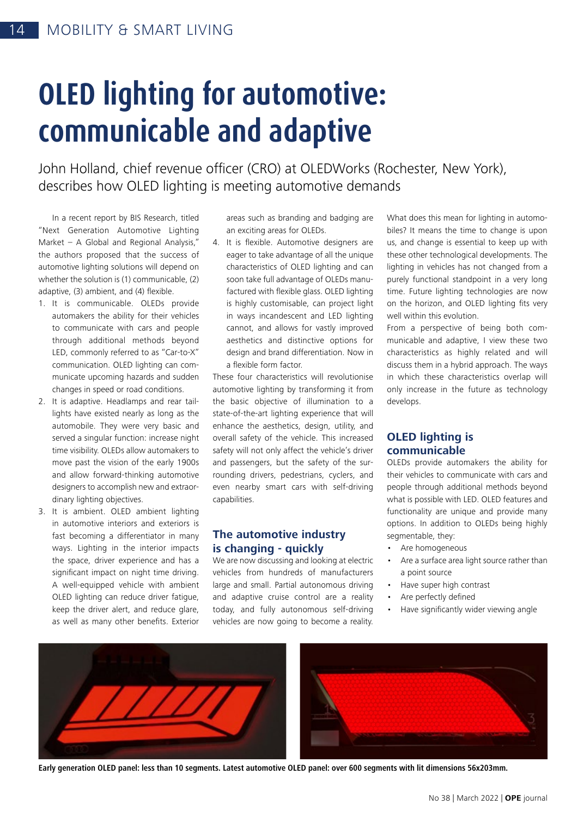# **OLED lighting for automotive: communicable and adaptive**

John Holland, chief revenue officer (CRO) at OLEDWorks (Rochester, New York), describes how OLED lighting is meeting automotive demands

In a recent report by BIS Research, titled "Next Generation Automotive Lighting Market – A Global and Regional Analysis," the authors proposed that the success of automotive lighting solutions will depend on whether the solution is (1) communicable, (2) adaptive, (3) ambient, and (4) flexible.

- 1. It is communicable. OLEDs provide automakers the ability for their vehicles to communicate with cars and people through additional methods beyond LED, commonly referred to as "Car-to-X" communication. OLED lighting can communicate upcoming hazards and sudden changes in speed or road conditions.
- 2. It is adaptive. Headlamps and rear taillights have existed nearly as long as the automobile. They were very basic and served a singular function: increase night time visibility. OLEDs allow automakers to move past the vision of the early 1900s and allow forward-thinking automotive designers to accomplish new and extraordinary lighting objectives.
- 3. It is ambient. OLED ambient lighting in automotive interiors and exteriors is fast becoming a differentiator in many ways. Lighting in the interior impacts the space, driver experience and has a significant impact on night time driving. A well-equipped vehicle with ambient OLED lighting can reduce driver fatigue, keep the driver alert, and reduce glare, as well as many other benefits. Exterior

areas such as branding and badging are an exciting areas for OLEDs.

4. It is flexible. Automotive designers are eager to take advantage of all the unique characteristics of OLED lighting and can soon take full advantage of OLEDs manufactured with flexible glass. OLED lighting is highly customisable, can project light in ways incandescent and LED lighting cannot, and allows for vastly improved aesthetics and distinctive options for design and brand differentiation. Now in a flexible form factor.

These four characteristics will revolutionise automotive lighting by transforming it from the basic objective of illumination to a state-of-the-art lighting experience that will enhance the aesthetics, design, utility, and overall safety of the vehicle. This increased safety will not only affect the vehicle's driver and passengers, but the safety of the surrounding drivers, pedestrians, cyclers, and even nearby smart cars with self-driving capabilities.

#### **The automotive industry is changing - quickly**

We are now discussing and looking at electric vehicles from hundreds of manufacturers large and small. Partial autonomous driving and adaptive cruise control are a reality today, and fully autonomous self-driving vehicles are now going to become a reality.

What does this mean for lighting in automobiles? It means the time to change is upon us, and change is essential to keep up with these other technological developments. The lighting in vehicles has not changed from a purely functional standpoint in a very long time. Future lighting technologies are now on the horizon, and OLED lighting fits very well within this evolution.

From a perspective of being both communicable and adaptive, I view these two characteristics as highly related and will discuss them in a hybrid approach. The ways in which these characteristics overlap will only increase in the future as technology develops.

### **OLED lighting is communicable**

OLEDs provide automakers the ability for their vehicles to communicate with cars and people through additional methods beyond what is possible with LED. OLED features and functionality are unique and provide many options. In addition to OLEDs being highly segmentable, they:

- Are homogeneous
- Are a surface area light source rather than a point source
- Have super high contrast
- Are perfectly defined
- Have significantly wider viewing angle



**Early generation OLED panel: less than 10 segments. Latest automotive OLED panel: over 600 segments with lit dimensions 56x203mm.**